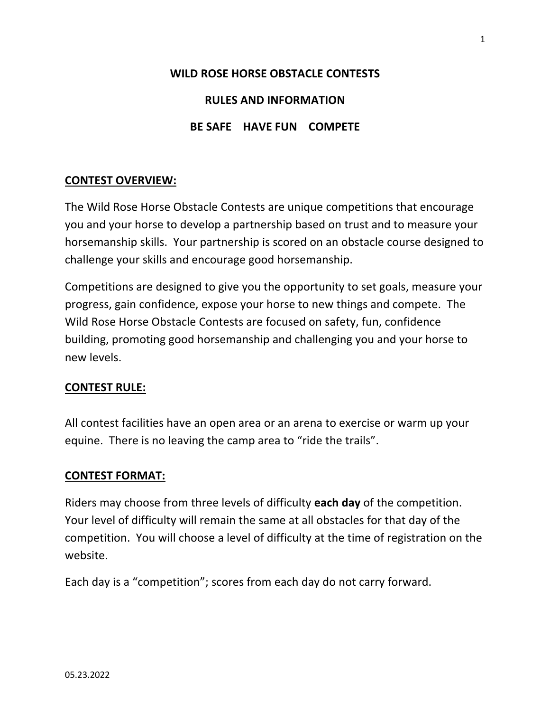# **WILD ROSE HORSE OBSTACLE CONTESTS RULES AND INFORMATION BE SAFE HAVE FUN COMPETE**

# **CONTEST OVERVIEW:**

The Wild Rose Horse Obstacle Contests are unique competitions that encourage you and your horse to develop a partnership based on trust and to measure your horsemanship skills. Your partnership is scored on an obstacle course designed to challenge your skills and encourage good horsemanship.

Competitions are designed to give you the opportunity to set goals, measure your progress, gain confidence, expose your horse to new things and compete. The Wild Rose Horse Obstacle Contests are focused on safety, fun, confidence building, promoting good horsemanship and challenging you and your horse to new levels.

# **CONTEST RULE:**

All contest facilities have an open area or an arena to exercise or warm up your equine. There is no leaving the camp area to "ride the trails".

## **CONTEST FORMAT:**

Riders may choose from three levels of difficulty **each day** of the competition. Your level of difficulty will remain the same at all obstacles for that day of the competition. You will choose a level of difficulty at the time of registration on the website.

Each day is a "competition"; scores from each day do not carry forward.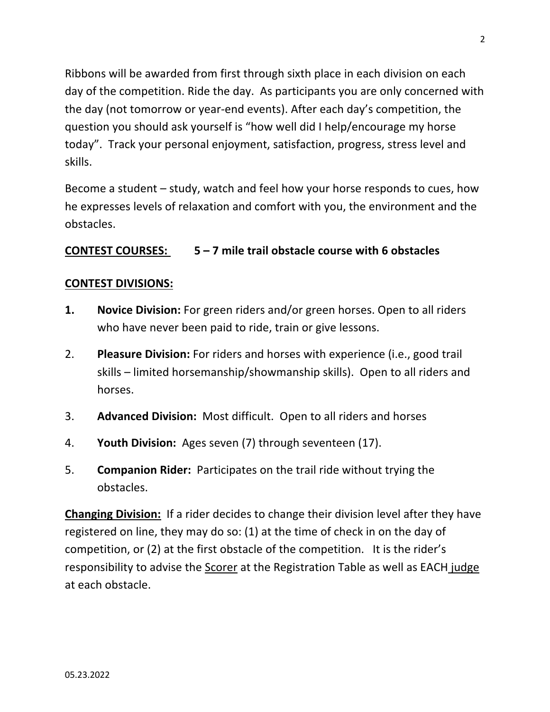Ribbons will be awarded from first through sixth place in each division on each day of the competition. Ride the day. As participants you are only concerned with the day (not tomorrow or year-end events). After each day's competition, the question you should ask yourself is "how well did I help/encourage my horse today". Track your personal enjoyment, satisfaction, progress, stress level and skills.

Become a student – study, watch and feel how your horse responds to cues, how he expresses levels of relaxation and comfort with you, the environment and the obstacles.

# **CONTEST COURSES: 5 – 7 mile trail obstacle course with 6 obstacles**

# **CONTEST DIVISIONS:**

- **1. Novice Division:** For green riders and/or green horses. Open to all riders who have never been paid to ride, train or give lessons.
- 2. **Pleasure Division:** For riders and horses with experience (i.e., good trail skills – limited horsemanship/showmanship skills). Open to all riders and horses.
- 3. **Advanced Division:** Most difficult. Open to all riders and horses
- 4. **Youth Division:** Ages seven (7) through seventeen (17).
- 5. **Companion Rider:** Participates on the trail ride without trying the obstacles.

**Changing Division:** If a rider decides to change their division level after they have registered on line, they may do so: (1) at the time of check in on the day of competition, or (2) at the first obstacle of the competition. It is the rider's responsibility to advise the Scorer at the Registration Table as well as EACH judge at each obstacle.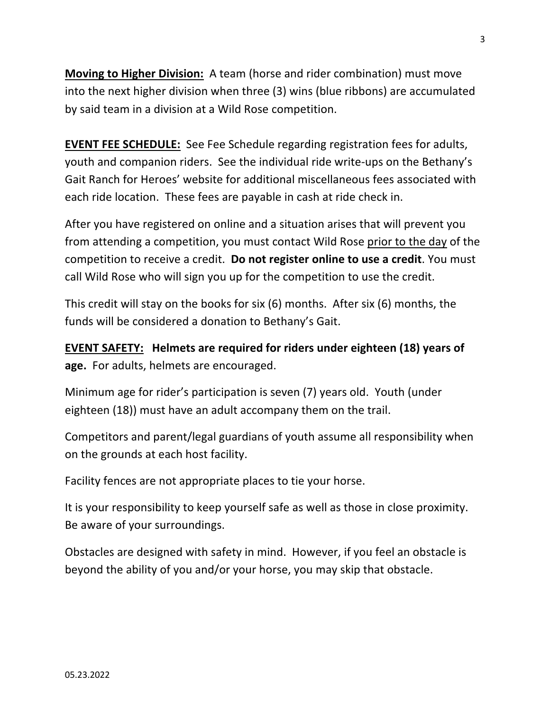**Moving to Higher Division:** A team (horse and rider combination) must move into the next higher division when three (3) wins (blue ribbons) are accumulated by said team in a division at a Wild Rose competition.

**EVENT FEE SCHEDULE:** See Fee Schedule regarding registration fees for adults, youth and companion riders. See the individual ride write-ups on the Bethany's Gait Ranch for Heroes' website for additional miscellaneous fees associated with each ride location. These fees are payable in cash at ride check in.

After you have registered on online and a situation arises that will prevent you from attending a competition, you must contact Wild Rose prior to the day of the competition to receive a credit. **Do not register online to use a credit**. You must call Wild Rose who will sign you up for the competition to use the credit.

This credit will stay on the books for six (6) months. After six (6) months, the funds will be considered a donation to Bethany's Gait.

**EVENT SAFETY: Helmets are required for riders under eighteen (18) years of age.** For adults, helmets are encouraged.

Minimum age for rider's participation is seven (7) years old. Youth (under eighteen (18)) must have an adult accompany them on the trail.

Competitors and parent/legal guardians of youth assume all responsibility when on the grounds at each host facility.

Facility fences are not appropriate places to tie your horse.

It is your responsibility to keep yourself safe as well as those in close proximity. Be aware of your surroundings.

Obstacles are designed with safety in mind. However, if you feel an obstacle is beyond the ability of you and/or your horse, you may skip that obstacle.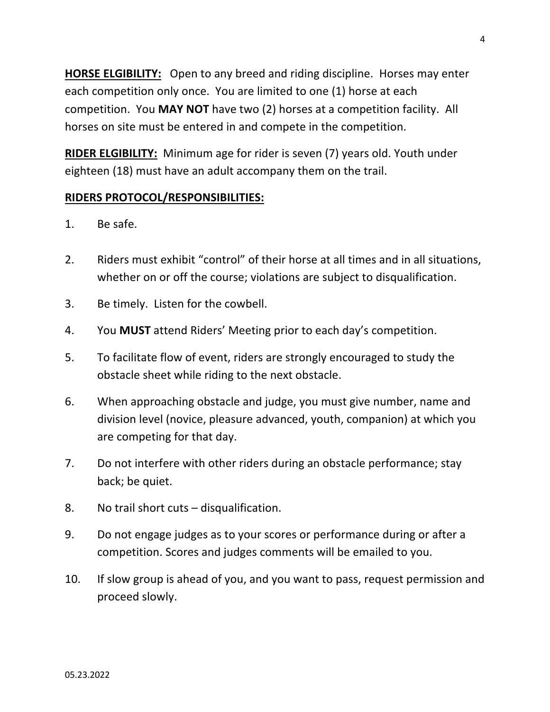**HORSE ELGIBILITY:** Open to any breed and riding discipline. Horses may enter each competition only once. You are limited to one (1) horse at each competition. You **MAY NOT** have two (2) horses at a competition facility. All horses on site must be entered in and compete in the competition.

**RIDER ELGIBILITY:** Minimum age for rider is seven (7) years old. Youth under eighteen (18) must have an adult accompany them on the trail.

## **RIDERS PROTOCOL/RESPONSIBILITIES:**

- 1. Be safe.
- 2. Riders must exhibit "control" of their horse at all times and in all situations, whether on or off the course; violations are subject to disqualification.
- 3. Be timely. Listen for the cowbell.
- 4. You **MUST** attend Riders' Meeting prior to each day's competition.
- 5. To facilitate flow of event, riders are strongly encouraged to study the obstacle sheet while riding to the next obstacle.
- 6. When approaching obstacle and judge, you must give number, name and division level (novice, pleasure advanced, youth, companion) at which you are competing for that day.
- 7. Do not interfere with other riders during an obstacle performance; stay back; be quiet.
- 8. No trail short cuts disqualification.
- 9. Do not engage judges as to your scores or performance during or after a competition. Scores and judges comments will be emailed to you.
- 10. If slow group is ahead of you, and you want to pass, request permission and proceed slowly.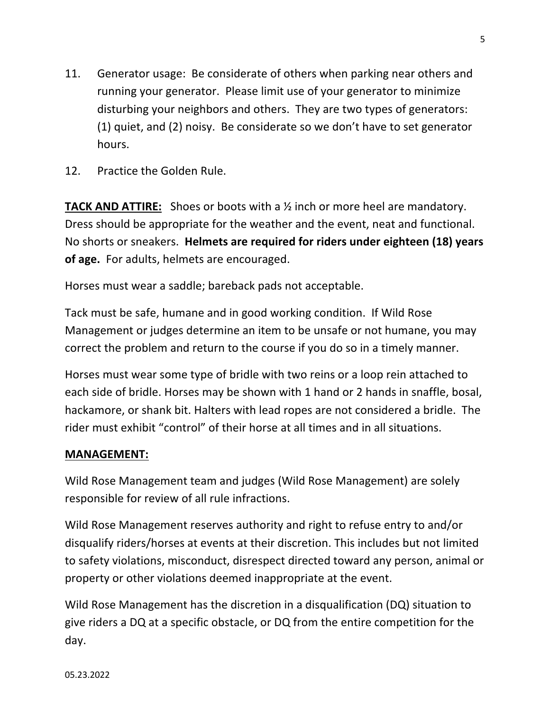- 11. Generator usage: Be considerate of others when parking near others and running your generator. Please limit use of your generator to minimize disturbing your neighbors and others. They are two types of generators: (1) quiet, and (2) noisy. Be considerate so we don't have to set generator hours.
- 12. Practice the Golden Rule.

**TACK AND ATTIRE:** Shoes or boots with a ½ inch or more heel are mandatory. Dress should be appropriate for the weather and the event, neat and functional. No shorts or sneakers. **Helmets are required for riders under eighteen (18) years of age.** For adults, helmets are encouraged.

Horses must wear a saddle; bareback pads not acceptable.

Tack must be safe, humane and in good working condition. If Wild Rose Management or judges determine an item to be unsafe or not humane, you may correct the problem and return to the course if you do so in a timely manner.

Horses must wear some type of bridle with two reins or a loop rein attached to each side of bridle. Horses may be shown with 1 hand or 2 hands in snaffle, bosal, hackamore, or shank bit. Halters with lead ropes are not considered a bridle. The rider must exhibit "control" of their horse at all times and in all situations.

## **MANAGEMENT:**

Wild Rose Management team and judges (Wild Rose Management) are solely responsible for review of all rule infractions.

Wild Rose Management reserves authority and right to refuse entry to and/or disqualify riders/horses at events at their discretion. This includes but not limited to safety violations, misconduct, disrespect directed toward any person, animal or property or other violations deemed inappropriate at the event.

Wild Rose Management has the discretion in a disqualification (DQ) situation to give riders a DQ at a specific obstacle, or DQ from the entire competition for the day.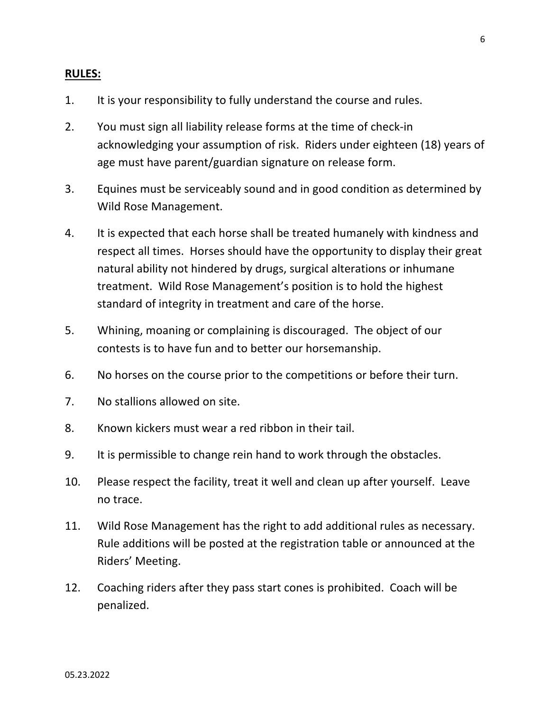#### **RULES:**

- 1. It is your responsibility to fully understand the course and rules.
- 2. You must sign all liability release forms at the time of check-in acknowledging your assumption of risk. Riders under eighteen (18) years of age must have parent/guardian signature on release form.
- 3. Equines must be serviceably sound and in good condition as determined by Wild Rose Management.
- 4. It is expected that each horse shall be treated humanely with kindness and respect all times. Horses should have the opportunity to display their great natural ability not hindered by drugs, surgical alterations or inhumane treatment. Wild Rose Management's position is to hold the highest standard of integrity in treatment and care of the horse.
- 5. Whining, moaning or complaining is discouraged. The object of our contests is to have fun and to better our horsemanship.
- 6. No horses on the course prior to the competitions or before their turn.
- 7. No stallions allowed on site.
- 8. Known kickers must wear a red ribbon in their tail.
- 9. It is permissible to change rein hand to work through the obstacles.
- 10. Please respect the facility, treat it well and clean up after yourself. Leave no trace.
- 11. Wild Rose Management has the right to add additional rules as necessary. Rule additions will be posted at the registration table or announced at the Riders' Meeting.
- 12. Coaching riders after they pass start cones is prohibited. Coach will be penalized.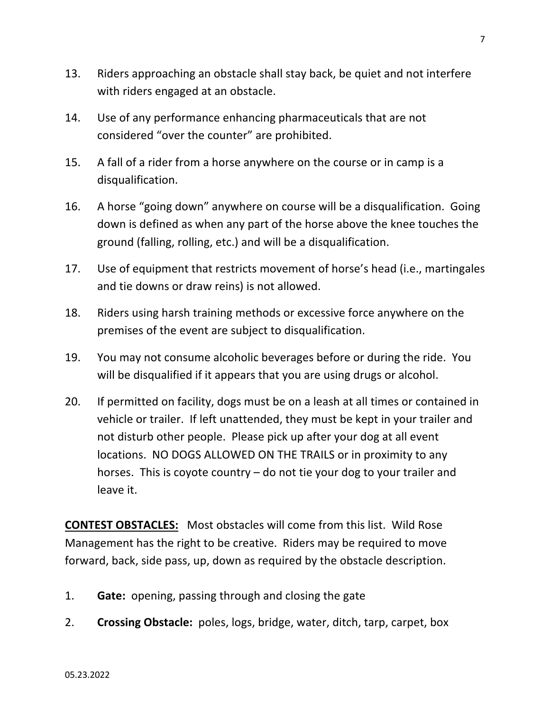- 13. Riders approaching an obstacle shall stay back, be quiet and not interfere with riders engaged at an obstacle.
- 14. Use of any performance enhancing pharmaceuticals that are not considered "over the counter" are prohibited.
- 15. A fall of a rider from a horse anywhere on the course or in camp is a disqualification.
- 16. A horse "going down" anywhere on course will be a disqualification. Going down is defined as when any part of the horse above the knee touches the ground (falling, rolling, etc.) and will be a disqualification.
- 17. Use of equipment that restricts movement of horse's head (i.e., martingales and tie downs or draw reins) is not allowed.
- 18. Riders using harsh training methods or excessive force anywhere on the premises of the event are subject to disqualification.
- 19. You may not consume alcoholic beverages before or during the ride. You will be disqualified if it appears that you are using drugs or alcohol.
- 20. If permitted on facility, dogs must be on a leash at all times or contained in vehicle or trailer. If left unattended, they must be kept in your trailer and not disturb other people. Please pick up after your dog at all event locations. NO DOGS ALLOWED ON THE TRAILS or in proximity to any horses. This is coyote country – do not tie your dog to your trailer and leave it.

**CONTEST OBSTACLES:** Most obstacles will come from this list. Wild Rose Management has the right to be creative. Riders may be required to move forward, back, side pass, up, down as required by the obstacle description.

- 1. **Gate:** opening, passing through and closing the gate
- 2. **Crossing Obstacle:** poles, logs, bridge, water, ditch, tarp, carpet, box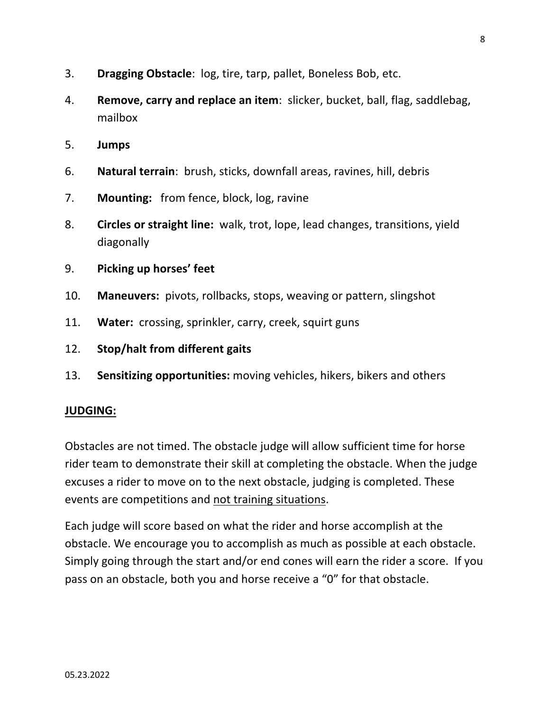- 3. **Dragging Obstacle**: log, tire, tarp, pallet, Boneless Bob, etc.
- 4. **Remove, carry and replace an item**: slicker, bucket, ball, flag, saddlebag, mailbox
- 5. **Jumps**
- 6. **Natural terrain**: brush, sticks, downfall areas, ravines, hill, debris
- 7. **Mounting:** from fence, block, log, ravine
- 8. **Circles or straight line:** walk, trot, lope, lead changes, transitions, yield diagonally

#### 9. **Picking up horses' feet**

- 10. **Maneuvers:** pivots, rollbacks, stops, weaving or pattern, slingshot
- 11. **Water:** crossing, sprinkler, carry, creek, squirt guns
- 12. **Stop/halt from different gaits**
- 13. **Sensitizing opportunities:** moving vehicles, hikers, bikers and others

#### **JUDGING:**

Obstacles are not timed. The obstacle judge will allow sufficient time for horse rider team to demonstrate their skill at completing the obstacle. When the judge excuses a rider to move on to the next obstacle, judging is completed. These events are competitions and not training situations.

Each judge will score based on what the rider and horse accomplish at the obstacle. We encourage you to accomplish as much as possible at each obstacle. Simply going through the start and/or end cones will earn the rider a score. If you pass on an obstacle, both you and horse receive a "0" for that obstacle.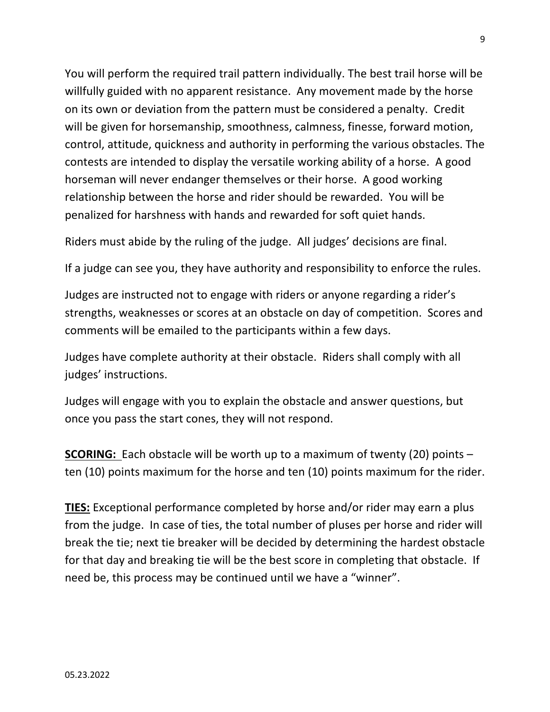You will perform the required trail pattern individually. The best trail horse will be willfully guided with no apparent resistance. Any movement made by the horse on its own or deviation from the pattern must be considered a penalty. Credit will be given for horsemanship, smoothness, calmness, finesse, forward motion, control, attitude, quickness and authority in performing the various obstacles. The contests are intended to display the versatile working ability of a horse. A good horseman will never endanger themselves or their horse. A good working relationship between the horse and rider should be rewarded. You will be penalized for harshness with hands and rewarded for soft quiet hands.

Riders must abide by the ruling of the judge. All judges' decisions are final.

If a judge can see you, they have authority and responsibility to enforce the rules.

Judges are instructed not to engage with riders or anyone regarding a rider's strengths, weaknesses or scores at an obstacle on day of competition. Scores and comments will be emailed to the participants within a few days.

Judges have complete authority at their obstacle. Riders shall comply with all judges' instructions.

Judges will engage with you to explain the obstacle and answer questions, but once you pass the start cones, they will not respond.

**SCORING:** Each obstacle will be worth up to a maximum of twenty (20) points – ten (10) points maximum for the horse and ten (10) points maximum for the rider.

**TIES:** Exceptional performance completed by horse and/or rider may earn a plus from the judge. In case of ties, the total number of pluses per horse and rider will break the tie; next tie breaker will be decided by determining the hardest obstacle for that day and breaking tie will be the best score in completing that obstacle. If need be, this process may be continued until we have a "winner".